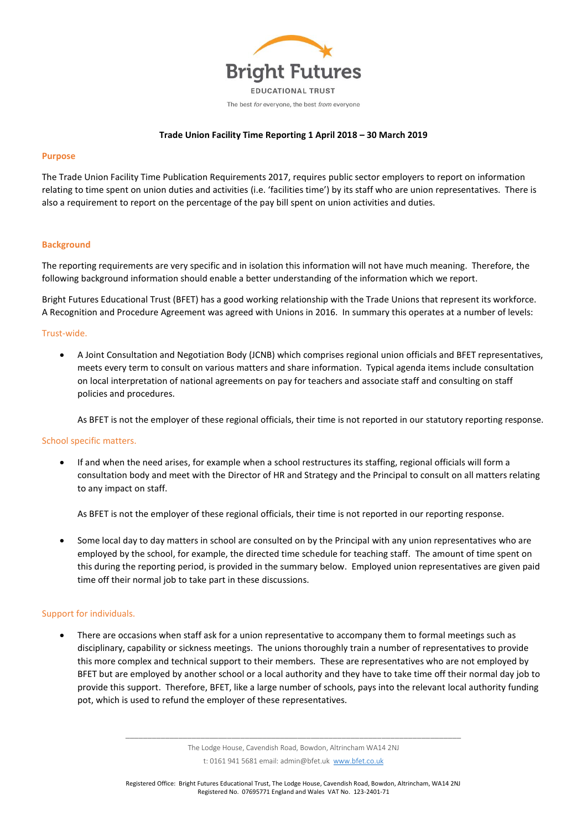

# **Trade Union Facility Time Reporting 1 April 2018 – 30 March 2019**

### **Purpose**

The Trade Union Facility Time Publication Requirements 2017, requires public sector employers to report on information relating to time spent on union duties and activities (i.e. 'facilities time') by its staff who are union representatives. There is also a requirement to report on the percentage of the pay bill spent on union activities and duties.

## **Background**

The reporting requirements are very specific and in isolation this information will not have much meaning. Therefore, the following background information should enable a better understanding of the information which we report.

Bright Futures Educational Trust (BFET) has a good working relationship with the Trade Unions that represent its workforce. A Recognition and Procedure Agreement was agreed with Unions in 2016. In summary this operates at a number of levels:

## Trust-wide.

 A Joint Consultation and Negotiation Body (JCNB) which comprises regional union officials and BFET representatives, meets every term to consult on various matters and share information. Typical agenda items include consultation on local interpretation of national agreements on pay for teachers and associate staff and consulting on staff policies and procedures.

As BFET is not the employer of these regional officials, their time is not reported in our statutory reporting response.

### School specific matters.

 If and when the need arises, for example when a school restructures its staffing, regional officials will form a consultation body and meet with the Director of HR and Strategy and the Principal to consult on all matters relating to any impact on staff.

As BFET is not the employer of these regional officials, their time is not reported in our reporting response.

 Some local day to day matters in school are consulted on by the Principal with any union representatives who are employed by the school, for example, the directed time schedule for teaching staff. The amount of time spent on this during the reporting period, is provided in the summary below. Employed union representatives are given paid time off their normal job to take part in these discussions.

# Support for individuals.

 There are occasions when staff ask for a union representative to accompany them to formal meetings such as disciplinary, capability or sickness meetings. The unions thoroughly train a number of representatives to provide this more complex and technical support to their members. These are representatives who are not employed by BFET but are employed by another school or a local authority and they have to take time off their normal day job to provide this support. Therefore, BFET, like a large number of schools, pays into the relevant local authority funding pot, which is used to refund the employer of these representatives.

\_\_\_\_\_\_\_\_\_\_\_\_\_\_\_\_\_\_\_\_\_\_\_\_\_\_\_\_\_\_\_\_\_\_\_\_\_\_\_\_\_\_\_\_\_\_\_\_\_\_\_\_\_\_\_\_\_\_\_\_\_\_\_\_\_\_\_\_\_\_\_\_\_\_\_\_ The Lodge House, Cavendish Road, Bowdon, Altrincham WA14 2NJ t: 0161 941 5681 email: admin@bfet.uk [www.bfet.co.uk](http://www.bfet.co.uk/)